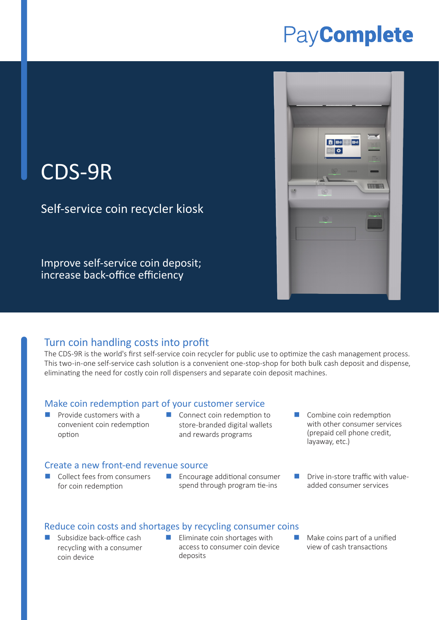# PayComplete

## CDS-9R

Self-service coin recycler kiosk

Improve self-service coin deposit; increase back-office efficiency

### Turn coin handling costs into profit

The CDS-9R is the world's first self-service coin recycler for public use to optimize the cash management process. This two-in-one self-service cash solution is a convenient one-stop-shop for both bulk cash deposit and dispense, eliminating the need for costly coin roll dispensers and separate coin deposit machines.

#### Make coin redemption part of your customer service

- Provide customers with a convenient coin redemption option
- Connect coin redemption to store-branded digital wallets and rewards programs
- Combine coin redemption with other consumer services (prepaid cell phone credit, layaway, etc.)

#### Create a new front-end revenue source

- Collect fees from consumers for coin redemption
- **Encourage additional consumer** spend through program tie-ins
- $\blacksquare$  Drive in-store traffic with valueadded consumer services

#### Reduce coin costs and shortages by recycling consumer coins

- Subsidize back-office cash recycling with a consumer coin device
- **Eliminate coin shortages with** access to consumer coin device deposits
- Make coins part of a unified view of cash transactions